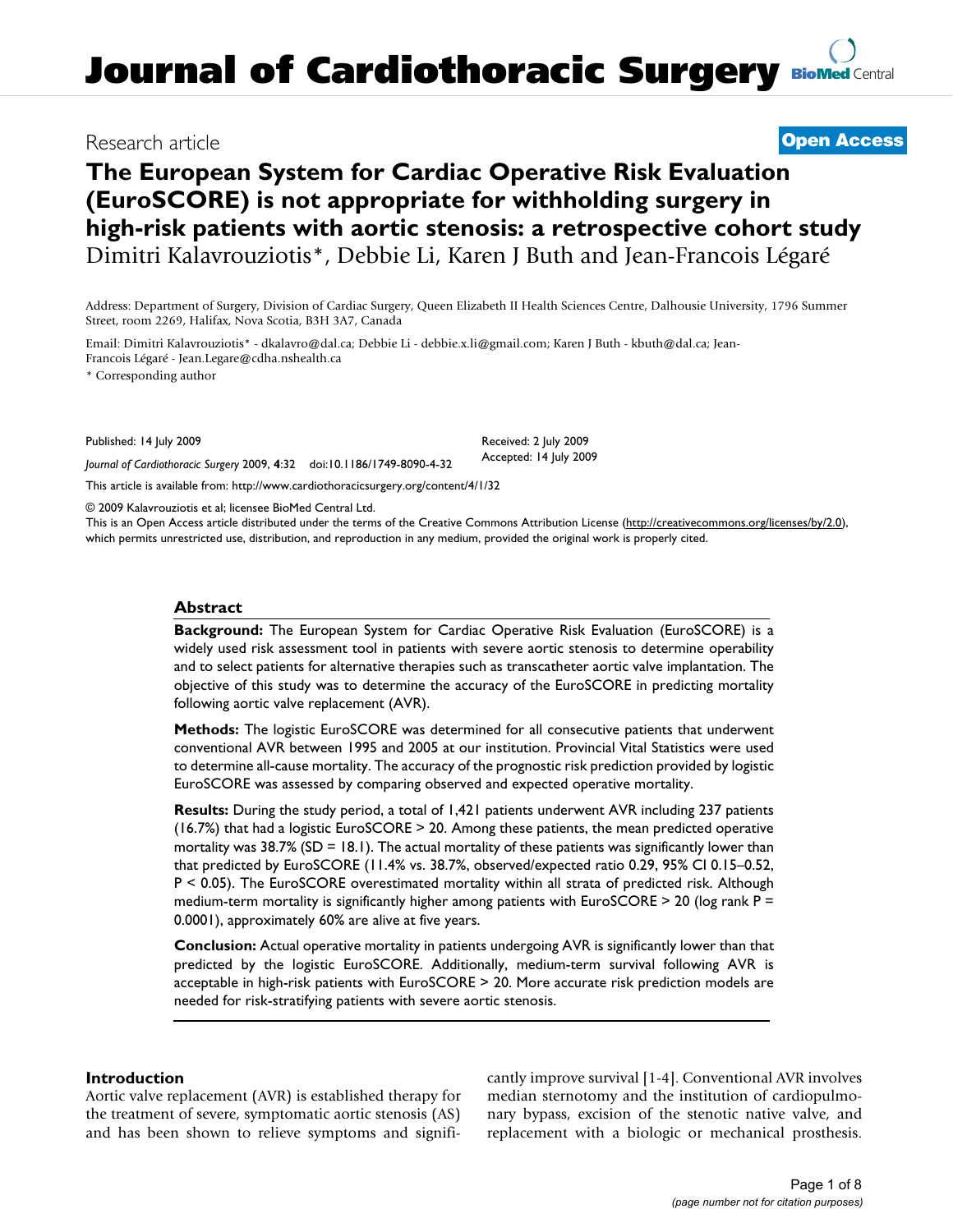## Research article **[Open Access](http://www.biomedcentral.com/info/about/charter/)**

# **The European System for Cardiac Operative Risk Evaluation (EuroSCORE) is not appropriate for withholding surgery in high-risk patients with aortic stenosis: a retrospective cohort study** Dimitri Kalavrouziotis\*, Debbie Li, Karen J Buth and Jean-Francois Légaré

Address: Department of Surgery, Division of Cardiac Surgery, Queen Elizabeth II Health Sciences Centre, Dalhousie University, 1796 Summer Street, room 2269, Halifax, Nova Scotia, B3H 3A7, Canada

Email: Dimitri Kalavrouziotis\* - dkalavro@dal.ca; Debbie Li - debbie.x.li@gmail.com; Karen J Buth - kbuth@dal.ca; Jean-Francois Légaré - Jean.Legare@cdha.nshealth.ca

\* Corresponding author

Published: 14 July 2009

*Journal of Cardiothoracic Surgery* 2009, **4**:32 doi:10.1186/1749-8090-4-32

[This article is available from: http://www.cardiothoracicsurgery.org/content/4/1/32](http://www.cardiothoracicsurgery.org/content/4/1/32)

© 2009 Kalavrouziotis et al; licensee BioMed Central Ltd.

This is an Open Access article distributed under the terms of the Creative Commons Attribution License [\(http://creativecommons.org/licenses/by/2.0\)](http://creativecommons.org/licenses/by/2.0), which permits unrestricted use, distribution, and reproduction in any medium, provided the original work is properly cited.

Received: 2 July 2009 Accepted: 14 July 2009

## **Abstract**

**Background:** The European System for Cardiac Operative Risk Evaluation (EuroSCORE) is a widely used risk assessment tool in patients with severe aortic stenosis to determine operability and to select patients for alternative therapies such as transcatheter aortic valve implantation. The objective of this study was to determine the accuracy of the EuroSCORE in predicting mortality following aortic valve replacement (AVR).

**Methods:** The logistic EuroSCORE was determined for all consecutive patients that underwent conventional AVR between 1995 and 2005 at our institution. Provincial Vital Statistics were used to determine all-cause mortality. The accuracy of the prognostic risk prediction provided by logistic EuroSCORE was assessed by comparing observed and expected operative mortality.

**Results:** During the study period, a total of 1,421 patients underwent AVR including 237 patients (16.7%) that had a logistic EuroSCORE > 20. Among these patients, the mean predicted operative mortality was  $38.7\%$  (SD = 18.1). The actual mortality of these patients was significantly lower than that predicted by EuroSCORE (11.4% vs. 38.7%, observed/expected ratio 0.29, 95% CI 0.15–0.52, P < 0.05). The EuroSCORE overestimated mortality within all strata of predicted risk. Although medium-term mortality is significantly higher among patients with EuroSCORE  $>$  20 (log rank P = 0.0001), approximately 60% are alive at five years.

**Conclusion:** Actual operative mortality in patients undergoing AVR is significantly lower than that predicted by the logistic EuroSCORE. Additionally, medium-term survival following AVR is acceptable in high-risk patients with EuroSCORE > 20. More accurate risk prediction models are needed for risk-stratifying patients with severe aortic stenosis.

## **Introduction**

Aortic valve replacement (AVR) is established therapy for the treatment of severe, symptomatic aortic stenosis (AS) and has been shown to relieve symptoms and significantly improve survival [[1](#page-6-0)[-4\]](#page-6-1). Conventional AVR involves median sternotomy and the institution of cardiopulmonary bypass, excision of the stenotic native valve, and replacement with a biologic or mechanical prosthesis.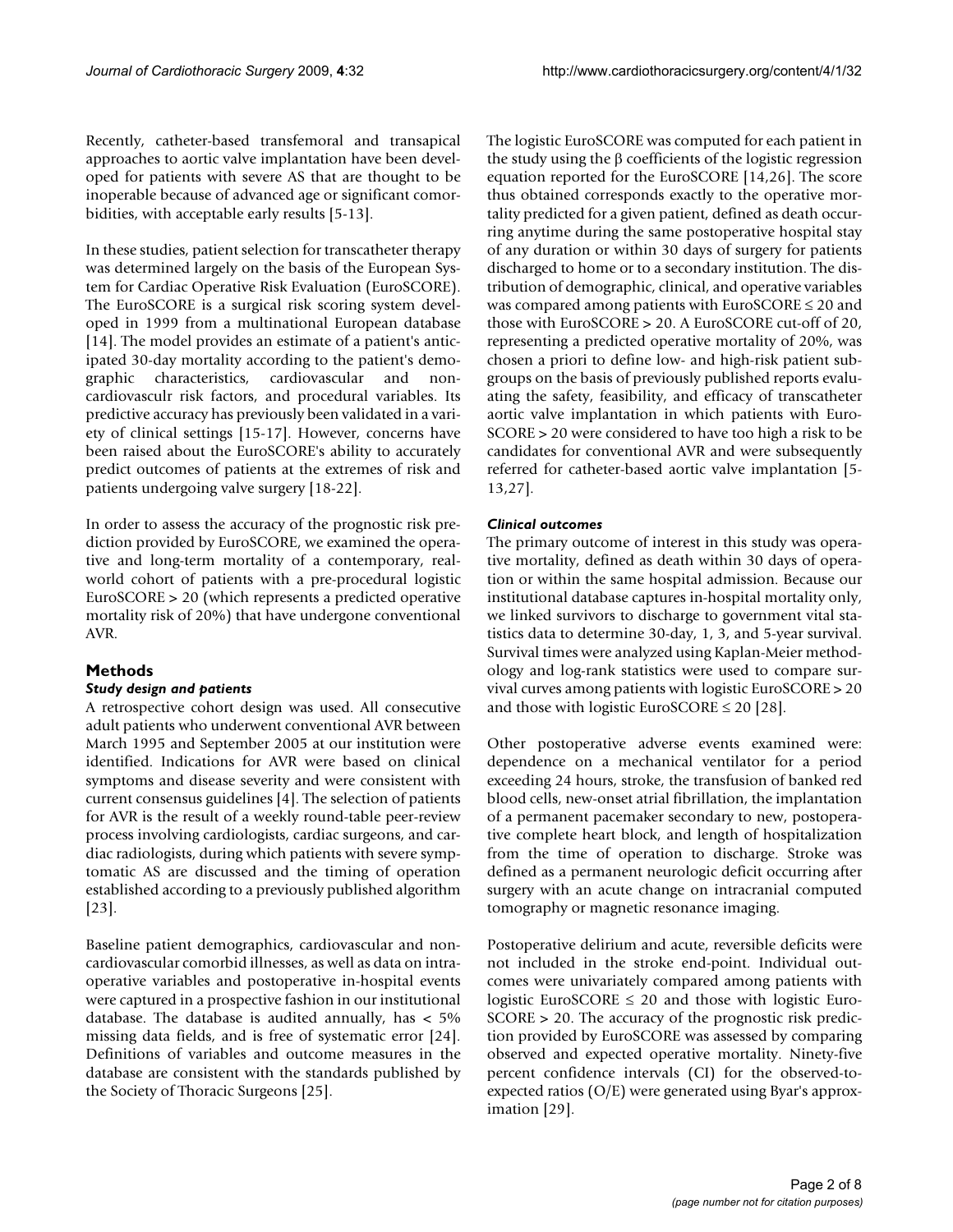Recently, catheter-based transfemoral and transapical approaches to aortic valve implantation have been developed for patients with severe AS that are thought to be inoperable because of advanced age or significant comorbidities, with acceptable early results [[5](#page-6-2)[-13](#page-6-3)].

In these studies, patient selection for transcatheter therapy was determined largely on the basis of the European System for Cardiac Operative Risk Evaluation (EuroSCORE). The EuroSCORE is a surgical risk scoring system developed in 1999 from a multinational European database [[14](#page-6-4)]. The model provides an estimate of a patient's anticipated 30-day mortality according to the patient's demographic characteristics, cardiovascular and noncardiovasculr risk factors, and procedural variables. Its predictive accuracy has previously been validated in a variety of clinical settings [[15-](#page-6-5)[17](#page-6-6)]. However, concerns have been raised about the EuroSCORE's ability to accurately predict outcomes of patients at the extremes of risk and patients undergoing valve surgery [\[18-](#page-6-7)[22\]](#page-7-0).

In order to assess the accuracy of the prognostic risk prediction provided by EuroSCORE, we examined the operative and long-term mortality of a contemporary, realworld cohort of patients with a pre-procedural logistic EuroSCORE > 20 (which represents a predicted operative mortality risk of 20%) that have undergone conventional AVR.

## **Methods**

## *Study design and patients*

A retrospective cohort design was used. All consecutive adult patients who underwent conventional AVR between March 1995 and September 2005 at our institution were identified. Indications for AVR were based on clinical symptoms and disease severity and were consistent with current consensus guidelines [\[4](#page-6-1)]. The selection of patients for AVR is the result of a weekly round-table peer-review process involving cardiologists, cardiac surgeons, and cardiac radiologists, during which patients with severe symptomatic AS are discussed and the timing of operation established according to a previously published algorithm [[23](#page-7-1)].

Baseline patient demographics, cardiovascular and noncardiovascular comorbid illnesses, as well as data on intraoperative variables and postoperative in-hospital events were captured in a prospective fashion in our institutional database. The database is audited annually, has < 5% missing data fields, and is free of systematic error [\[24](#page-7-2)]. Definitions of variables and outcome measures in the database are consistent with the standards published by the Society of Thoracic Surgeons [\[25\]](#page-7-3).

The logistic EuroSCORE was computed for each patient in the study using the β coefficients of the logistic regression equation reported for the EuroSCORE [\[14](#page-6-4)[,26](#page-7-4)]. The score thus obtained corresponds exactly to the operative mortality predicted for a given patient, defined as death occurring anytime during the same postoperative hospital stay of any duration or within 30 days of surgery for patients discharged to home or to a secondary institution. The distribution of demographic, clinical, and operative variables was compared among patients with EuroSCORE ≤ 20 and those with EuroSCORE > 20. A EuroSCORE cut-off of 20, representing a predicted operative mortality of 20%, was chosen a priori to define low- and high-risk patient subgroups on the basis of previously published reports evaluating the safety, feasibility, and efficacy of transcatheter aortic valve implantation in which patients with Euro-SCORE > 20 were considered to have too high a risk to be candidates for conventional AVR and were subsequently referred for catheter-based aortic valve implantation [[5](#page-6-2)- [13](#page-6-3)[,27](#page-7-5)].

## *Clinical outcomes*

The primary outcome of interest in this study was operative mortality, defined as death within 30 days of operation or within the same hospital admission. Because our institutional database captures in-hospital mortality only, we linked survivors to discharge to government vital statistics data to determine 30-day, 1, 3, and 5-year survival. Survival times were analyzed using Kaplan-Meier methodology and log-rank statistics were used to compare survival curves among patients with logistic EuroSCORE > 20 and those with logistic EuroSCORE  $\leq 20$  [[28\]](#page-7-6).

Other postoperative adverse events examined were: dependence on a mechanical ventilator for a period exceeding 24 hours, stroke, the transfusion of banked red blood cells, new-onset atrial fibrillation, the implantation of a permanent pacemaker secondary to new, postoperative complete heart block, and length of hospitalization from the time of operation to discharge. Stroke was defined as a permanent neurologic deficit occurring after surgery with an acute change on intracranial computed tomography or magnetic resonance imaging.

Postoperative delirium and acute, reversible deficits were not included in the stroke end-point. Individual outcomes were univariately compared among patients with logistic EuroSCORE  $\leq$  20 and those with logistic Euro-SCORE > 20. The accuracy of the prognostic risk prediction provided by EuroSCORE was assessed by comparing observed and expected operative mortality. Ninety-five percent confidence intervals (CI) for the observed-toexpected ratios (O/E) were generated using Byar's approximation [[29](#page-7-7)].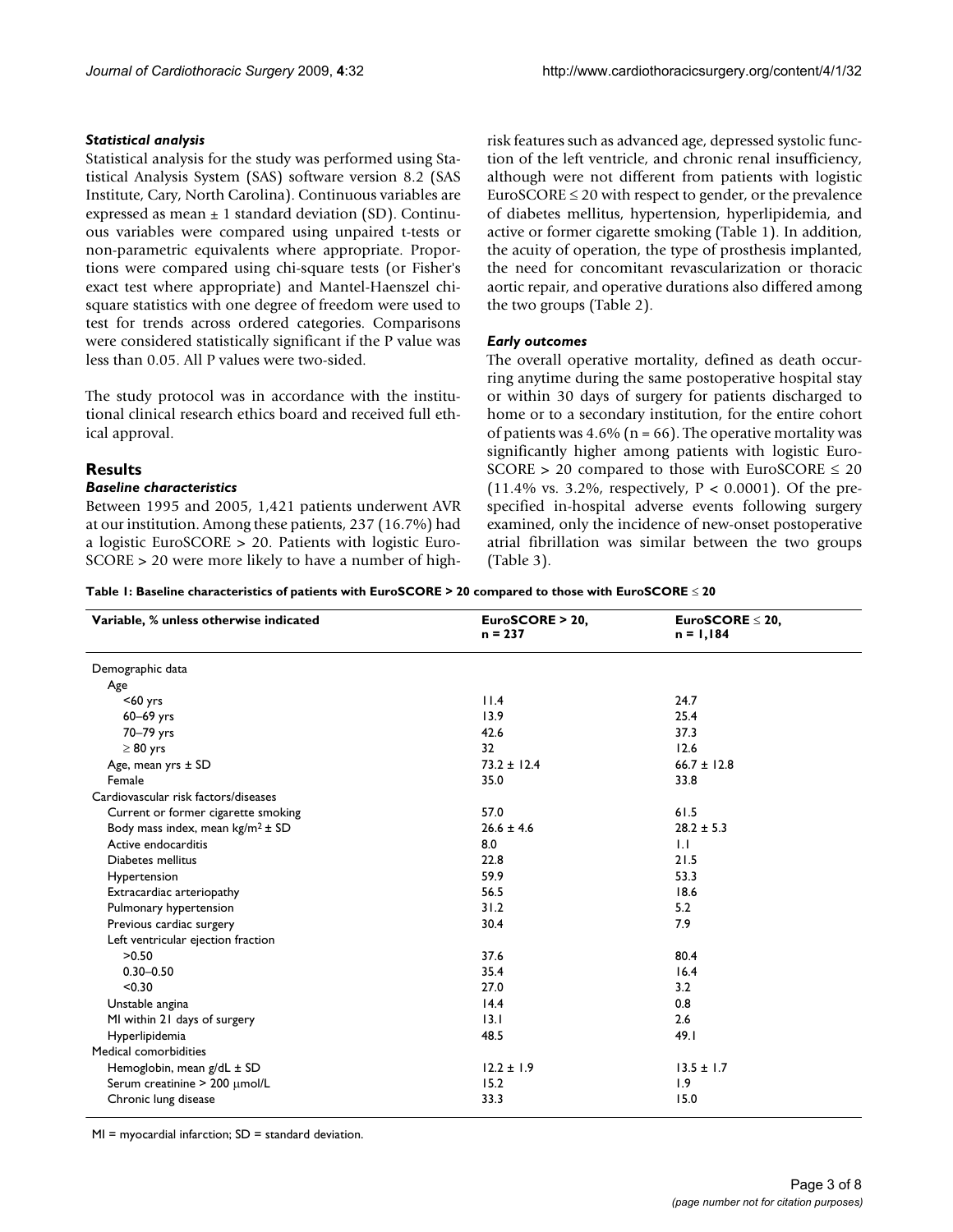## *Statistical analysis*

Statistical analysis for the study was performed using Statistical Analysis System (SAS) software version 8.2 (SAS Institute, Cary, North Carolina). Continuous variables are expressed as mean  $\pm$  1 standard deviation (SD). Continuous variables were compared using unpaired t-tests or non-parametric equivalents where appropriate. Proportions were compared using chi-square tests (or Fisher's exact test where appropriate) and Mantel-Haenszel chisquare statistics with one degree of freedom were used to test for trends across ordered categories. Comparisons were considered statistically significant if the P value was less than 0.05. All P values were two-sided.

The study protocol was in accordance with the institutional clinical research ethics board and received full ethical approval.

## **Results**

## *Baseline characteristics*

Between 1995 and 2005, 1,421 patients underwent AVR at our institution. Among these patients, 237 (16.7%) had a logistic EuroSCORE > 20. Patients with logistic Euro-SCORE > 20 were more likely to have a number of highrisk features such as advanced age, depressed systolic function of the left ventricle, and chronic renal insufficiency, although were not different from patients with logistic EuroSCORE  $\leq$  20 with respect to gender, or the prevalence of diabetes mellitus, hypertension, hyperlipidemia, and active or former cigarette smoking (Table [1\)](#page-2-0). In addition, the acuity of operation, the type of prosthesis implanted, the need for concomitant revascularization or thoracic aortic repair, and operative durations also differed among the two groups (Table [2](#page-3-0)).

## *Early outcomes*

The overall operative mortality, defined as death occurring anytime during the same postoperative hospital stay or within 30 days of surgery for patients discharged to home or to a secondary institution, for the entire cohort of patients was  $4.6\%$  (n = 66). The operative mortality was significantly higher among patients with logistic Euro-SCORE > 20 compared to those with EuroSCORE  $\leq 20$ (11.4% vs. 3.2%, respectively,  $P < 0.0001$ ). Of the prespecified in-hospital adverse events following surgery examined, only the incidence of new-onset postoperative atrial fibrillation was similar between the two groups (Table [3\)](#page-3-1).

<span id="page-2-0"></span>**Table 1: Baseline characteristics of patients with EuroSCORE > 20 compared to those with EuroSCORE** ≤ **20**

| Variable, % unless otherwise indicated | EuroSCORE > 20,<br>$n = 237$ | $EuroSCORE \leq 20$ ,<br>$n = 1,184$ |  |
|----------------------------------------|------------------------------|--------------------------------------|--|
| Demographic data                       |                              |                                      |  |
| Age                                    |                              |                                      |  |
| $60$ yrs                               | 11.4                         | 24.7                                 |  |
| $60-69$ yrs                            | 13.9                         | 25.4                                 |  |
| 70-79 yrs                              | 42.6                         | 37.3                                 |  |
| $\geq 80$ yrs                          | 32                           | 12.6                                 |  |
| Age, mean yrs ± SD                     | $73.2 \pm 12.4$              | $66.7 \pm 12.8$                      |  |
| Female                                 | 35.0                         | 33.8                                 |  |
| Cardiovascular risk factors/diseases   |                              |                                      |  |
| Current or former cigarette smoking    | 57.0                         | 61.5                                 |  |
| Body mass index, mean $kg/m^2 \pm SD$  | $26.6 \pm 4.6$               | $28.2 \pm 5.3$                       |  |
| Active endocarditis                    | 8.0                          | $\overline{1}$ .                     |  |
| Diabetes mellitus                      | 22.8                         | 21.5                                 |  |
| Hypertension                           | 59.9                         | 53.3                                 |  |
| Extracardiac arteriopathy              | 56.5                         | 18.6                                 |  |
| Pulmonary hypertension                 | 31.2                         | 5.2                                  |  |
| Previous cardiac surgery               | 30.4                         | 7.9                                  |  |
| Left ventricular ejection fraction     |                              |                                      |  |
| >0.50                                  | 37.6                         | 80.4                                 |  |
| $0.30 - 0.50$                          | 35.4                         | 16.4                                 |  |
| < 0.30                                 | 27.0                         | 3.2                                  |  |
| Unstable angina                        | 14.4                         | 0.8                                  |  |
| MI within 21 days of surgery           | 13.1                         | 2.6                                  |  |
| Hyperlipidemia                         | 48.5                         | 49.1                                 |  |
| Medical comorbidities                  |                              |                                      |  |
| Hemoglobin, mean g/dL ± SD             | $12.2 \pm 1.9$               | $13.5 \pm 1.7$                       |  |
| Serum creatinine > 200 µmol/L          | 15.2                         | 1.9                                  |  |
| Chronic lung disease                   | 33.3                         | 15.0                                 |  |

 $MI = myocardial infarction; SD = standard deviation.$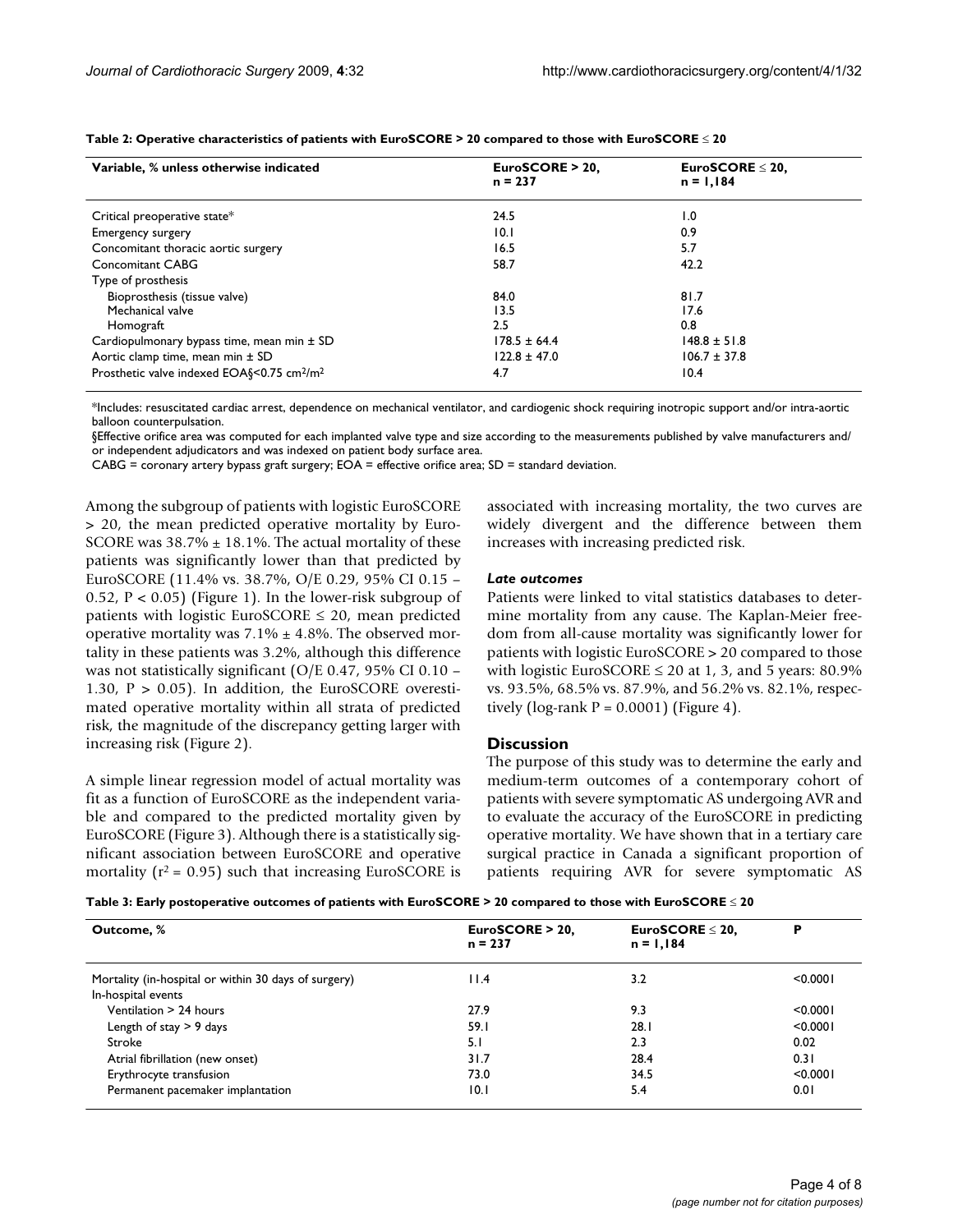| Variable, % unless otherwise indicated                             | EuroSCORE > 20.<br>$n = 237$ | EuroSCORE $\leq$ 20,<br>$n = 1,184$ |  |  |
|--------------------------------------------------------------------|------------------------------|-------------------------------------|--|--|
| Critical preoperative state*                                       | 24.5                         | 1.0                                 |  |  |
| <b>Emergency surgery</b>                                           | 10.1                         | 0.9                                 |  |  |
| Concomitant thoracic aortic surgery                                | 16.5                         | 5.7                                 |  |  |
| Concomitant CABG                                                   | 58.7                         | 42.2                                |  |  |
| Type of prosthesis                                                 |                              |                                     |  |  |
| Bioprosthesis (tissue valve)                                       | 84.0                         | 81.7                                |  |  |
| Mechanical valve                                                   | 13.5                         | 17.6                                |  |  |
| Homograft                                                          | 2.5                          | 0.8                                 |  |  |
| Cardiopulmonary bypass time, mean min ± SD                         | $178.5 \pm 64.4$             | $148.8 \pm 51.8$                    |  |  |
| Aortic clamp time, mean min ± SD                                   | $122.8 \pm 47.0$             | $106.7 \pm 37.8$                    |  |  |
| Prosthetic valve indexed EOA§<0.75 cm <sup>2</sup> /m <sup>2</sup> | 4.7                          | 10.4                                |  |  |

<span id="page-3-0"></span>**Table 2: Operative characteristics of patients with EuroSCORE > 20 compared to those with EuroSCORE** ≤ **20**

\*Includes: resuscitated cardiac arrest, dependence on mechanical ventilator, and cardiogenic shock requiring inotropic support and/or intra-aortic balloon counterpulsation.

§Effective orifice area was computed for each implanted valve type and size according to the measurements published by valve manufacturers and/ or independent adjudicators and was indexed on patient body surface area.

CABG = coronary artery bypass graft surgery; EOA = effective orifice area; SD = standard deviation.

Among the subgroup of patients with logistic EuroSCORE > 20, the mean predicted operative mortality by Euro-SCORE was  $38.7\% \pm 18.1\%$ . The actual mortality of these patients was significantly lower than that predicted by EuroSCORE (11.4% vs. 38.7%, O/E 0.29, 95% CI 0.15 – 0.52,  $P < 0.05$ ) (Figure [1](#page-4-0)). In the lower-risk subgroup of patients with logistic EuroSCORE  $\leq$  20, mean predicted operative mortality was  $7.1\% \pm 4.8\%$ . The observed mortality in these patients was 3.2%, although this difference was not statistically significant (O/E 0.47, 95% CI 0.10 – 1.30,  $P > 0.05$ ). In addition, the EuroSCORE overestimated operative mortality within all strata of predicted risk, the magnitude of the discrepancy getting larger with increasing risk (Figure [2\)](#page-4-1).

A simple linear regression model of actual mortality was fit as a function of EuroSCORE as the independent variable and compared to the predicted mortality given by EuroSCORE (Figure [3](#page-4-2)). Although there is a statistically significant association between EuroSCORE and operative mortality ( $r^2$  = 0.95) such that increasing EuroSCORE is associated with increasing mortality, the two curves are widely divergent and the difference between them increases with increasing predicted risk.

#### *Late outcomes*

Patients were linked to vital statistics databases to determine mortality from any cause. The Kaplan-Meier freedom from all-cause mortality was significantly lower for patients with logistic EuroSCORE > 20 compared to those with logistic EuroSCORE ≤ 20 at 1, 3, and 5 years: 80.9% vs. 93.5%, 68.5% vs. 87.9%, and 56.2% vs. 82.1%, respectively (log-rank  $P = 0.0001$ ) (Figure [4\)](#page-4-3).

#### **Discussion**

The purpose of this study was to determine the early and medium-term outcomes of a contemporary cohort of patients with severe symptomatic AS undergoing AVR and to evaluate the accuracy of the EuroSCORE in predicting operative mortality. We have shown that in a tertiary care surgical practice in Canada a significant proportion of patients requiring AVR for severe symptomatic AS

<span id="page-3-1"></span>

|  |  |  |  |  | Table 3: Early postoperative outcomes of patients with EuroSCORE > 20 compared to those with EuroSCORE $\leq$ 20 |  |  |  |  |
|--|--|--|--|--|------------------------------------------------------------------------------------------------------------------|--|--|--|--|
|--|--|--|--|--|------------------------------------------------------------------------------------------------------------------|--|--|--|--|

| Outcome, %                                           | EuroSCORE > 20,<br>$n = 237$ | EuroSCORE $\leq$ 20,<br>$n = 1,184$ | Р        |
|------------------------------------------------------|------------------------------|-------------------------------------|----------|
| Mortality (in-hospital or within 30 days of surgery) | 11.4                         | 3.2                                 | < 0.0001 |
| In-hospital events                                   |                              |                                     |          |
| Ventilation > 24 hours                               | 27.9                         | 9.3                                 | < 0.0001 |
| Length of stay $> 9$ days                            | 59.I                         | 28.1                                | < 0.0001 |
| Stroke                                               | 5. I                         | 2.3                                 | 0.02     |
| Atrial fibrillation (new onset)                      | 31.7                         | 28.4                                | 0.31     |
| Erythrocyte transfusion                              | 73.0                         | 34.5                                | < 0.0001 |
| Permanent pacemaker implantation                     | 10.1                         | 5.4                                 | 0.01     |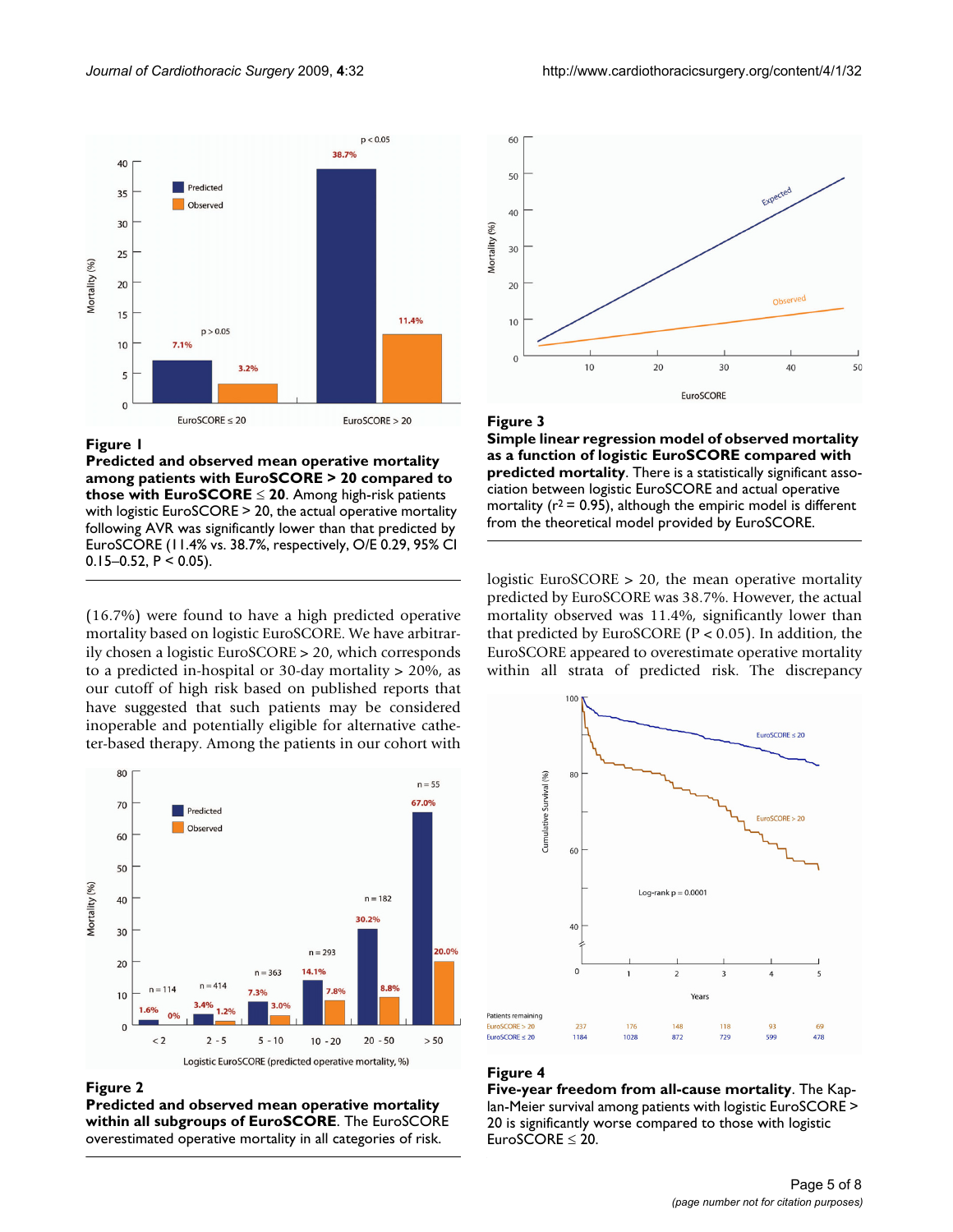<span id="page-4-0"></span>

## Figure 1

**Predicted and observed mean operative mortality among patients with EuroSCORE > 20 compared to those with EuroSCORE** ≤ **20**. Among high-risk patients with logistic EuroSCORE > 20, the actual operative mortality following AVR was significantly lower than that predicted by EuroSCORE (11.4% vs. 38.7%, respectively, O/E 0.29, 95% CI 0.15–0.52,  $P < 0.05$ ).

(16.7%) were found to have a high predicted operative mortality based on logistic EuroSCORE. We have arbitrarily chosen a logistic EuroSCORE > 20, which corresponds to a predicted in-hospital or 30-day mortality > 20%, as our cutoff of high risk based on published reports that have suggested that such patients may be considered inoperable and potentially eligible for alternative catheter-based therapy. Among the patients in our cohort with

<span id="page-4-1"></span>

#### **Figure 2**

**Predicted and observed mean operative mortality within all subgroups of EuroSCORE**. The EuroSCORE overestimated operative mortality in all categories of risk.

<span id="page-4-2"></span>

#### Figure 3

**Simple linear regression model of observed mortality as a function of logistic EuroSCORE compared with predicted mortality**. There is a statistically significant association between logistic EuroSCORE and actual operative mortality ( $r^2$  = 0.95), although the empiric model is different from the theoretical model provided by EuroSCORE.

logistic EuroSCORE > 20, the mean operative mortality predicted by EuroSCORE was 38.7%. However, the actual mortality observed was 11.4%, significantly lower than that predicted by EuroSCORE (P < 0.05). In addition, the EuroSCORE appeared to overestimate operative mortality within all strata of predicted risk. The discrepancy

<span id="page-4-3"></span>

## **Figure 4**

**Five-year freedom from all-cause mortality**. The Kaplan-Meier survival among patients with logistic EuroSCORE > 20 is significantly worse compared to those with logistic EuroSCORE ≤ 20.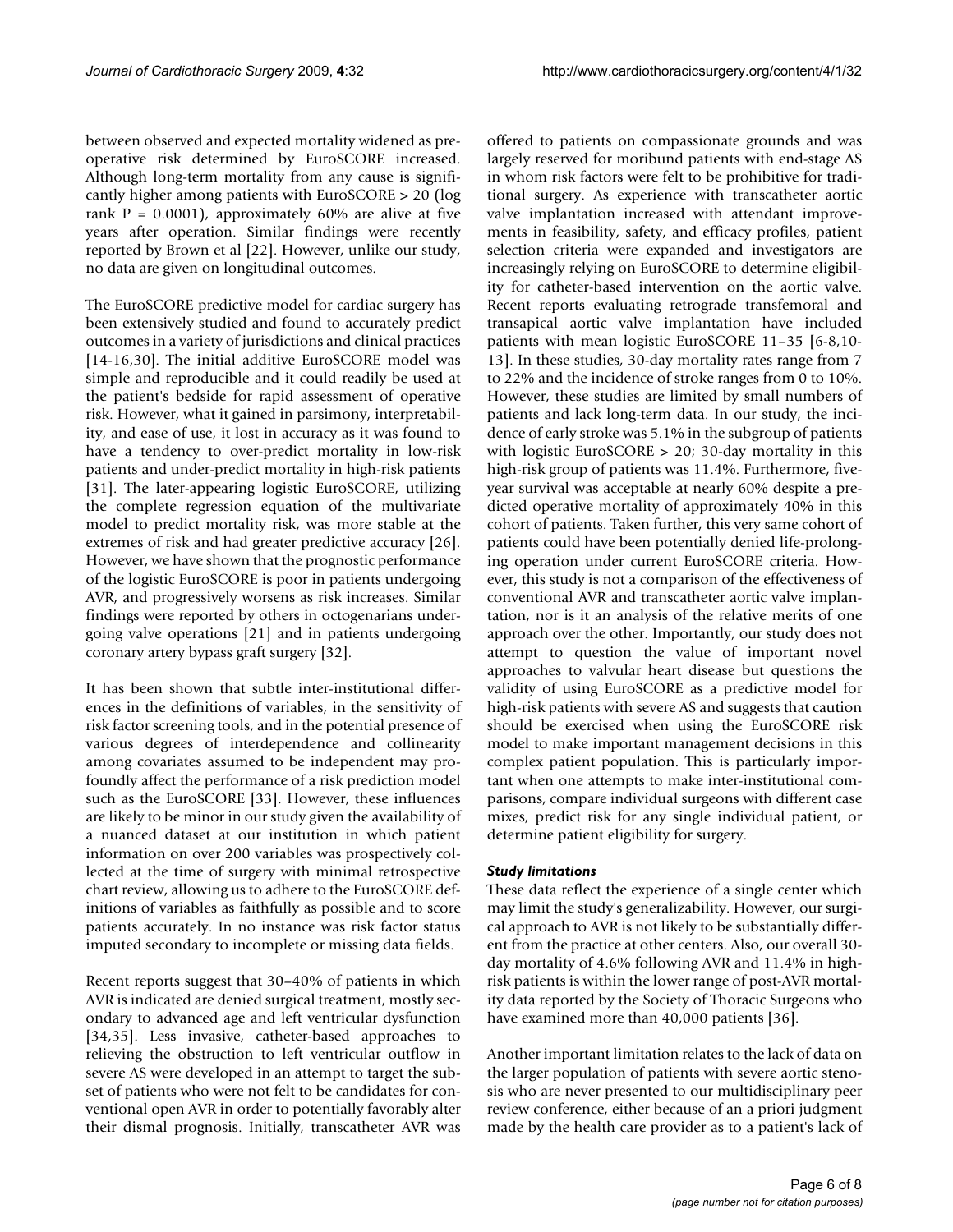between observed and expected mortality widened as preoperative risk determined by EuroSCORE increased. Although long-term mortality from any cause is significantly higher among patients with EuroSCORE > 20 (log rank  $P = 0.0001$ , approximately 60% are alive at five years after operation. Similar findings were recently reported by Brown et al [\[22](#page-7-0)]. However, unlike our study, no data are given on longitudinal outcomes.

The EuroSCORE predictive model for cardiac surgery has been extensively studied and found to accurately predict outcomes in a variety of jurisdictions and clinical practices [[14](#page-6-4)[-16](#page-6-8),[30\]](#page-7-8). The initial additive EuroSCORE model was simple and reproducible and it could readily be used at the patient's bedside for rapid assessment of operative risk. However, what it gained in parsimony, interpretability, and ease of use, it lost in accuracy as it was found to have a tendency to over-predict mortality in low-risk patients and under-predict mortality in high-risk patients [[31](#page-7-9)]. The later-appearing logistic EuroSCORE, utilizing the complete regression equation of the multivariate model to predict mortality risk, was more stable at the extremes of risk and had greater predictive accuracy [\[26](#page-7-4)]. However, we have shown that the prognostic performance of the logistic EuroSCORE is poor in patients undergoing AVR, and progressively worsens as risk increases. Similar findings were reported by others in octogenarians undergoing valve operations [\[21\]](#page-7-10) and in patients undergoing coronary artery bypass graft surgery [\[32](#page-7-11)].

It has been shown that subtle inter-institutional differences in the definitions of variables, in the sensitivity of risk factor screening tools, and in the potential presence of various degrees of interdependence and collinearity among covariates assumed to be independent may profoundly affect the performance of a risk prediction model such as the EuroSCORE [\[33](#page-7-12)]. However, these influences are likely to be minor in our study given the availability of a nuanced dataset at our institution in which patient information on over 200 variables was prospectively collected at the time of surgery with minimal retrospective chart review, allowing us to adhere to the EuroSCORE definitions of variables as faithfully as possible and to score patients accurately. In no instance was risk factor status imputed secondary to incomplete or missing data fields.

Recent reports suggest that 30–40% of patients in which AVR is indicated are denied surgical treatment, mostly secondary to advanced age and left ventricular dysfunction [[34](#page-7-13),[35\]](#page-7-14). Less invasive, catheter-based approaches to relieving the obstruction to left ventricular outflow in severe AS were developed in an attempt to target the subset of patients who were not felt to be candidates for conventional open AVR in order to potentially favorably alter their dismal prognosis. Initially, transcatheter AVR was offered to patients on compassionate grounds and was largely reserved for moribund patients with end-stage AS in whom risk factors were felt to be prohibitive for traditional surgery. As experience with transcatheter aortic valve implantation increased with attendant improvements in feasibility, safety, and efficacy profiles, patient selection criteria were expanded and investigators are increasingly relying on EuroSCORE to determine eligibility for catheter-based intervention on the aortic valve. Recent reports evaluating retrograde transfemoral and transapical aortic valve implantation have included patients with mean logistic EuroSCORE 11–35 [[6](#page-6-9)[-8,](#page-6-10)[10-](#page-6-11) [13\]](#page-6-3). In these studies, 30-day mortality rates range from 7 to 22% and the incidence of stroke ranges from 0 to 10%. However, these studies are limited by small numbers of patients and lack long-term data. In our study, the incidence of early stroke was 5.1% in the subgroup of patients with logistic EuroSCORE > 20; 30-day mortality in this high-risk group of patients was 11.4%. Furthermore, fiveyear survival was acceptable at nearly 60% despite a predicted operative mortality of approximately 40% in this cohort of patients. Taken further, this very same cohort of patients could have been potentially denied life-prolonging operation under current EuroSCORE criteria. However, this study is not a comparison of the effectiveness of conventional AVR and transcatheter aortic valve implantation, nor is it an analysis of the relative merits of one approach over the other. Importantly, our study does not attempt to question the value of important novel approaches to valvular heart disease but questions the validity of using EuroSCORE as a predictive model for high-risk patients with severe AS and suggests that caution should be exercised when using the EuroSCORE risk model to make important management decisions in this complex patient population. This is particularly important when one attempts to make inter-institutional comparisons, compare individual surgeons with different case mixes, predict risk for any single individual patient, or determine patient eligibility for surgery.

## *Study limitations*

These data reflect the experience of a single center which may limit the study's generalizability. However, our surgical approach to AVR is not likely to be substantially different from the practice at other centers. Also, our overall 30 day mortality of 4.6% following AVR and 11.4% in highrisk patients is within the lower range of post-AVR mortality data reported by the Society of Thoracic Surgeons who have examined more than 40,000 patients [[36\]](#page-7-15).

Another important limitation relates to the lack of data on the larger population of patients with severe aortic stenosis who are never presented to our multidisciplinary peer review conference, either because of an a priori judgment made by the health care provider as to a patient's lack of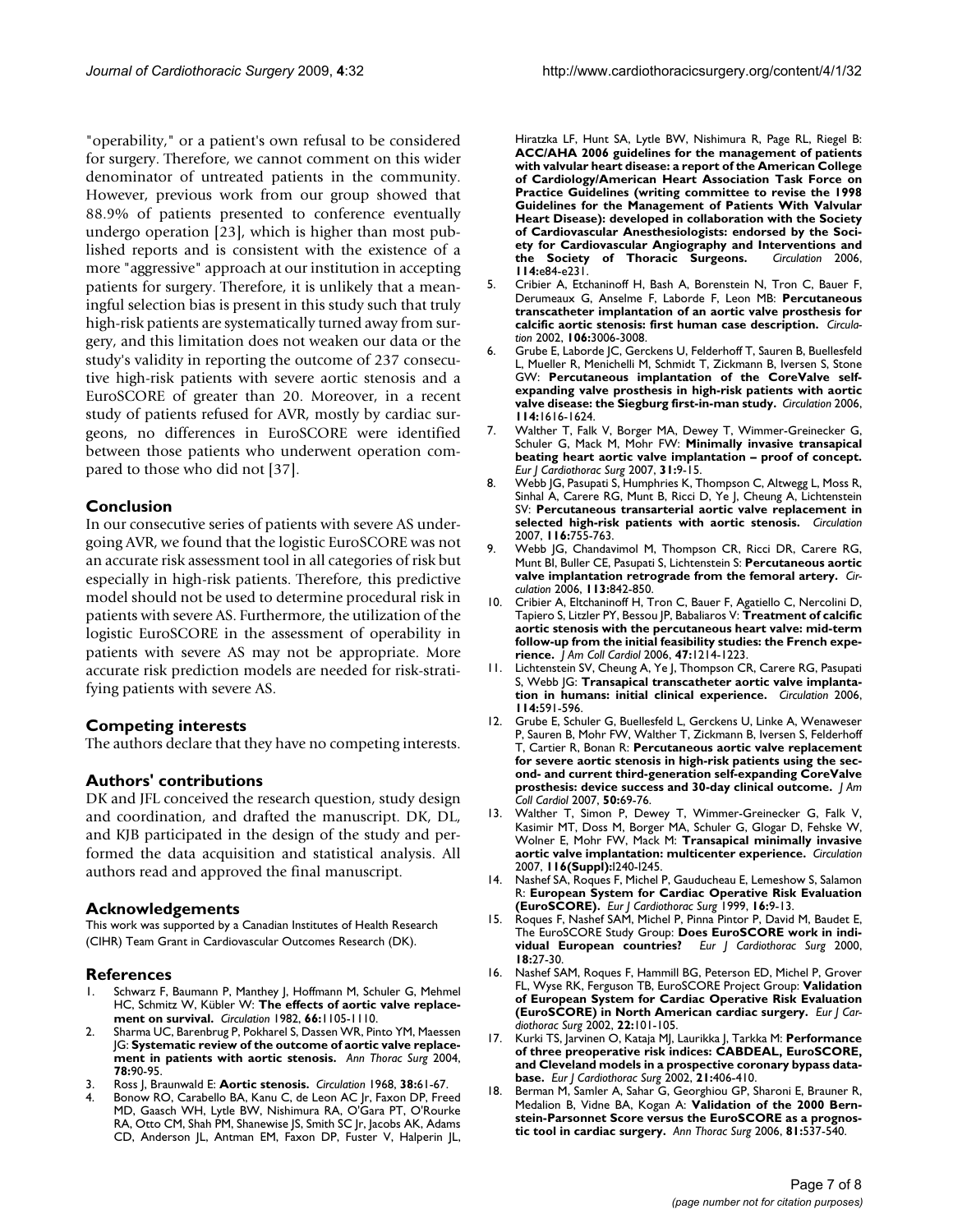"operability," or a patient's own refusal to be considered for surgery. Therefore, we cannot comment on this wider denominator of untreated patients in the community. However, previous work from our group showed that 88.9% of patients presented to conference eventually undergo operation [\[23\]](#page-7-1), which is higher than most published reports and is consistent with the existence of a more "aggressive" approach at our institution in accepting patients for surgery. Therefore, it is unlikely that a meaningful selection bias is present in this study such that truly high-risk patients are systematically turned away from surgery, and this limitation does not weaken our data or the study's validity in reporting the outcome of 237 consecutive high-risk patients with severe aortic stenosis and a EuroSCORE of greater than 20. Moreover, in a recent study of patients refused for AVR, mostly by cardiac surgeons, no differences in EuroSCORE were identified between those patients who underwent operation compared to those who did not [[37\]](#page-7-16).

## **Conclusion**

In our consecutive series of patients with severe AS undergoing AVR, we found that the logistic EuroSCORE was not an accurate risk assessment tool in all categories of risk but especially in high-risk patients. Therefore, this predictive model should not be used to determine procedural risk in patients with severe AS. Furthermore, the utilization of the logistic EuroSCORE in the assessment of operability in patients with severe AS may not be appropriate. More accurate risk prediction models are needed for risk-stratifying patients with severe AS.

## **Competing interests**

The authors declare that they have no competing interests.

## **Authors' contributions**

DK and JFL conceived the research question, study design and coordination, and drafted the manuscript. DK, DL, and KJB participated in the design of the study and performed the data acquisition and statistical analysis. All authors read and approved the final manuscript.

## **Acknowledgements**

This work was supported by a Canadian Institutes of Health Research (CIHR) Team Grant in Cardiovascular Outcomes Research (DK).

#### **References**

- <span id="page-6-0"></span>Schwarz F, Baumann P, Manthey J, Hoffmann M, Schuler G, Mehmel HC, Schmitz W, Kübler W: **[The effects of aortic valve replace](http://www.ncbi.nlm.nih.gov/entrez/query.fcgi?cmd=Retrieve&db=PubMed&dopt=Abstract&list_uids=7127696)[ment on survival.](http://www.ncbi.nlm.nih.gov/entrez/query.fcgi?cmd=Retrieve&db=PubMed&dopt=Abstract&list_uids=7127696)** *Circulation* 1982, **66:**1105-1110.
- 2. Sharma UC, Barenbrug P, Pokharel S, Dassen WR, Pinto YM, Maessen JG: **[Systematic review of the outcome of aortic valve replace](http://www.ncbi.nlm.nih.gov/entrez/query.fcgi?cmd=Retrieve&db=PubMed&dopt=Abstract&list_uids=15223410)[ment in patients with aortic stenosis.](http://www.ncbi.nlm.nih.gov/entrez/query.fcgi?cmd=Retrieve&db=PubMed&dopt=Abstract&list_uids=15223410)** *Ann Thorac Surg* 2004, **78:**90-95.
- 3. Ross J, Braunwald E: **[Aortic stenosis.](http://www.ncbi.nlm.nih.gov/entrez/query.fcgi?cmd=Retrieve&db=PubMed&dopt=Abstract&list_uids=4894151)** *Circulation* 1968, **38:**61-67.
- <span id="page-6-1"></span>4. Bonow RO, Carabello BA, Kanu C, de Leon AC Jr, Faxon DP, Freed MD, Gaasch WH, Lytle BW, Nishimura RA, O'Gara PT, O'Rourke RA, Otto CM, Shah PM, Shanewise JS, Smith SC Jr, Jacobs AK, Adams CD, Anderson JL, Antman EM, Faxon DP, Fuster V, Halperin JL,

Hiratzka LF, Hunt SA, Lytle BW, Nishimura R, Page RL, Riegel B: **[ACC/AHA 2006 guidelines for the management of patients](http://www.ncbi.nlm.nih.gov/entrez/query.fcgi?cmd=Retrieve&db=PubMed&dopt=Abstract&list_uids=16880336) with valvular heart disease: a report of the American College of Cardiology/American Heart Association Task Force on Practice Guidelines (writing committee to revise the 1998 Guidelines for the Management of Patients With Valvular Heart Disease): developed in collaboration with the Society of Cardiovascular Anesthesiologists: endorsed by the Society for Cardiovascular Angiography and Interventions and [the Society of Thoracic Surgeons.](http://www.ncbi.nlm.nih.gov/entrez/query.fcgi?cmd=Retrieve&db=PubMed&dopt=Abstract&list_uids=16880336)** *Circulation* 2006, **114:**e84-e231.

- <span id="page-6-2"></span>5. Cribier A, Etchaninoff H, Bash A, Borenstein N, Tron C, Bauer F, Derumeaux G, Anselme F, Laborde F, Leon MB: **[Percutaneous](http://www.ncbi.nlm.nih.gov/entrez/query.fcgi?cmd=Retrieve&db=PubMed&dopt=Abstract&list_uids=12473543) [transcatheter implantation of an aortic valve prosthesis for](http://www.ncbi.nlm.nih.gov/entrez/query.fcgi?cmd=Retrieve&db=PubMed&dopt=Abstract&list_uids=12473543) [calcific aortic stenosis: first human case description.](http://www.ncbi.nlm.nih.gov/entrez/query.fcgi?cmd=Retrieve&db=PubMed&dopt=Abstract&list_uids=12473543)** *Circulation* 2002, **106:**3006-3008.
- <span id="page-6-9"></span>6. Grube E, Laborde JC, Gerckens U, Felderhoff T, Sauren B, Buellesfeld L, Mueller R, Menichelli M, Schmidt T, Zickmann B, Iversen S, Stone GW: **[Percutaneous implantation of the CoreValve self](http://www.ncbi.nlm.nih.gov/entrez/query.fcgi?cmd=Retrieve&db=PubMed&dopt=Abstract&list_uids=17015786)[expanding valve prosthesis in high-risk patients with aortic](http://www.ncbi.nlm.nih.gov/entrez/query.fcgi?cmd=Retrieve&db=PubMed&dopt=Abstract&list_uids=17015786) [valve disease: the Siegburg first-in-man study.](http://www.ncbi.nlm.nih.gov/entrez/query.fcgi?cmd=Retrieve&db=PubMed&dopt=Abstract&list_uids=17015786)** *Circulation* 2006, **114:**1616-1624.
- 7. Walther T, Falk V, Borger MA, Dewey T, Wimmer-Greinecker G, Schuler G, Mack M, Mohr FW: **[Minimally invasive transapical](http://www.ncbi.nlm.nih.gov/entrez/query.fcgi?cmd=Retrieve&db=PubMed&dopt=Abstract&list_uids=17097302) [beating heart aortic valve implantation – proof of concept.](http://www.ncbi.nlm.nih.gov/entrez/query.fcgi?cmd=Retrieve&db=PubMed&dopt=Abstract&list_uids=17097302)** *Eur J Cardiothorac Surg* 2007, **31:**9-15.
- <span id="page-6-10"></span>8. Webb JG, Pasupati S, Humphries K, Thompson C, Altwegg L, Moss R, Sinhal A, Carere RG, Munt B, Ricci D, Ye J, Cheung A, Lichtenstein SV: **[Percutaneous transarterial aortic valve replacement in](http://www.ncbi.nlm.nih.gov/entrez/query.fcgi?cmd=Retrieve&db=PubMed&dopt=Abstract&list_uids=17646579) [selected high-risk patients with aortic stenosis.](http://www.ncbi.nlm.nih.gov/entrez/query.fcgi?cmd=Retrieve&db=PubMed&dopt=Abstract&list_uids=17646579)** *Circulation* 2007, **116:**755-763.
- 9. Webb JG, Chandavimol M, Thompson CR, Ricci DR, Carere RG, Munt BI, Buller CE, Pasupati S, Lichtenstein S: **[Percutaneous aortic](http://www.ncbi.nlm.nih.gov/entrez/query.fcgi?cmd=Retrieve&db=PubMed&dopt=Abstract&list_uids=16461813) [valve implantation retrograde from the femoral artery.](http://www.ncbi.nlm.nih.gov/entrez/query.fcgi?cmd=Retrieve&db=PubMed&dopt=Abstract&list_uids=16461813)** *Circulation* 2006, **113:**842-850.
- <span id="page-6-11"></span>10. Cribier A, Eltchaninoff H, Tron C, Bauer F, Agatiello C, Nercolini D, Tapiero S, Litzler PY, Bessou JP, Babaliaros V: **[Treatment of calcific](http://www.ncbi.nlm.nih.gov/entrez/query.fcgi?cmd=Retrieve&db=PubMed&dopt=Abstract&list_uids=16545654) [aortic stenosis with the percutaneous heart valve: mid-term](http://www.ncbi.nlm.nih.gov/entrez/query.fcgi?cmd=Retrieve&db=PubMed&dopt=Abstract&list_uids=16545654) follow-up from the initial feasibility studies: the French expe[rience.](http://www.ncbi.nlm.nih.gov/entrez/query.fcgi?cmd=Retrieve&db=PubMed&dopt=Abstract&list_uids=16545654)** *J Am Coll Cardiol* 2006, **47:**1214-1223.
- 11. Lichtenstein SV, Cheung A, Ye J, Thompson CR, Carere RG, Pasupati S, Webb JG: **[Transapical transcatheter aortic valve implanta](http://www.ncbi.nlm.nih.gov/entrez/query.fcgi?cmd=Retrieve&db=PubMed&dopt=Abstract&list_uids=16880325)[tion in humans: initial clinical experience.](http://www.ncbi.nlm.nih.gov/entrez/query.fcgi?cmd=Retrieve&db=PubMed&dopt=Abstract&list_uids=16880325)** *Circulation* 2006, **114:**591-596.
- 12. Grube E, Schuler G, Buellesfeld L, Gerckens U, Linke A, Wenaweser P, Sauren B, Mohr FW, Walther T, Zickmann B, Iversen S, Felderhoff T, Cartier R, Bonan R: **[Percutaneous aortic valve replacement](http://www.ncbi.nlm.nih.gov/entrez/query.fcgi?cmd=Retrieve&db=PubMed&dopt=Abstract&list_uids=17601548) [for severe aortic stenosis in high-risk patients using the sec](http://www.ncbi.nlm.nih.gov/entrez/query.fcgi?cmd=Retrieve&db=PubMed&dopt=Abstract&list_uids=17601548)ond- and current third-generation self-expanding CoreValve [prosthesis: device success and 30-day clinical outcome.](http://www.ncbi.nlm.nih.gov/entrez/query.fcgi?cmd=Retrieve&db=PubMed&dopt=Abstract&list_uids=17601548)** *J Am Coll Cardiol* 2007, **50:**69-76.
- <span id="page-6-3"></span>13. Walther T, Simon P, Dewey T, Wimmer-Greinecker G, Falk V, Kasimir MT, Doss M, Borger MA, Schuler G, Glogar D, Fehske W, Wolner E, Mohr FW, Mack M: **Transapical minimally invasive aortic valve implantation: multicenter experience.** *Circulation* 2007, **116(Suppl):**I240-I245.
- <span id="page-6-4"></span>14. Nashef SA, Roques F, Michel P, Gauducheau E, Lemeshow S, Salamon R: **[European System for Cardiac Operative Risk Evaluation](http://www.ncbi.nlm.nih.gov/entrez/query.fcgi?cmd=Retrieve&db=PubMed&dopt=Abstract&list_uids=10456395) [\(EuroSCORE\).](http://www.ncbi.nlm.nih.gov/entrez/query.fcgi?cmd=Retrieve&db=PubMed&dopt=Abstract&list_uids=10456395)** *Eur J Cardiothorac Surg* 1999, **16:**9-13.
- <span id="page-6-5"></span>15. Roques F, Nashef SAM, Michel P, Pinna Pintor P, David M, Baudet E, The EuroSCORE Study Group: **[Does EuroSCORE work in indi](http://www.ncbi.nlm.nih.gov/entrez/query.fcgi?cmd=Retrieve&db=PubMed&dopt=Abstract&list_uids=10869937)[vidual European countries?](http://www.ncbi.nlm.nih.gov/entrez/query.fcgi?cmd=Retrieve&db=PubMed&dopt=Abstract&list_uids=10869937)** *Eur J Cardiothorac Surg* 2000, **18:**27-30.
- <span id="page-6-8"></span>16. Nashef SAM, Roques F, Hammill BG, Peterson ED, Michel P, Grover FL, Wyse RK, Ferguson TB, EuroSCORE Project Group: **[Validation](http://www.ncbi.nlm.nih.gov/entrez/query.fcgi?cmd=Retrieve&db=PubMed&dopt=Abstract&list_uids=12103381) [of European System for Cardiac Operative Risk Evaluation](http://www.ncbi.nlm.nih.gov/entrez/query.fcgi?cmd=Retrieve&db=PubMed&dopt=Abstract&list_uids=12103381) [\(EuroSCORE\) in North American cardiac surgery.](http://www.ncbi.nlm.nih.gov/entrez/query.fcgi?cmd=Retrieve&db=PubMed&dopt=Abstract&list_uids=12103381)** *Eur J Cardiothorac Surg* 2002, **22:**101-105.
- <span id="page-6-6"></span>17. Kurki TS, Jarvinen O, Kataja MJ, Laurikka J, Tarkka M: **[Performance](http://www.ncbi.nlm.nih.gov/entrez/query.fcgi?cmd=Retrieve&db=PubMed&dopt=Abstract&list_uids=11888755) [of three preoperative risk indices: CABDEAL, EuroSCORE,](http://www.ncbi.nlm.nih.gov/entrez/query.fcgi?cmd=Retrieve&db=PubMed&dopt=Abstract&list_uids=11888755) and Cleveland models in a prospective coronary bypass data[base.](http://www.ncbi.nlm.nih.gov/entrez/query.fcgi?cmd=Retrieve&db=PubMed&dopt=Abstract&list_uids=11888755)** *Eur J Cardiothorac Surg* 2002, **21:**406-410.
- <span id="page-6-7"></span>Berman M, Samler A, Sahar G, Georghiou GP, Sharoni E, Brauner R, Medalion B, Vidne BA, Kogan A: **[Validation of the 2000 Bern](http://www.ncbi.nlm.nih.gov/entrez/query.fcgi?cmd=Retrieve&db=PubMed&dopt=Abstract&list_uids=16427846)[stein-Parsonnet Score versus the EuroSCORE as a prognos](http://www.ncbi.nlm.nih.gov/entrez/query.fcgi?cmd=Retrieve&db=PubMed&dopt=Abstract&list_uids=16427846)[tic tool in cardiac surgery.](http://www.ncbi.nlm.nih.gov/entrez/query.fcgi?cmd=Retrieve&db=PubMed&dopt=Abstract&list_uids=16427846)** *Ann Thorac Surg* 2006, **81:**537-540.